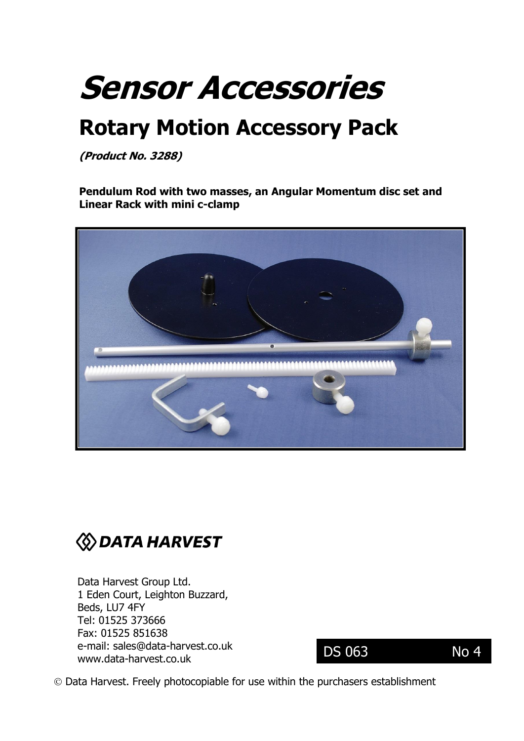# **Sensor Accessories**

## **Rotary Motion Accessory Pack**

**(Product No. 3288)** 

**Pendulum Rod with two masses, an Angular Momentum disc set and Linear Rack with mini c-clamp**





Data Harvest Group Ltd. 1 Eden Court, Leighton Buzzard, Beds, LU7 4FY Tel: 01525 373666 Fax: 01525 851638 e-mail: [sales@data-harvest.co.uk](mailto:sales@data-harvest.co.uk) www.data-harvest.co.uk

DS 063 No 4

Data Harvest. Freely photocopiable for use within the purchasers establishment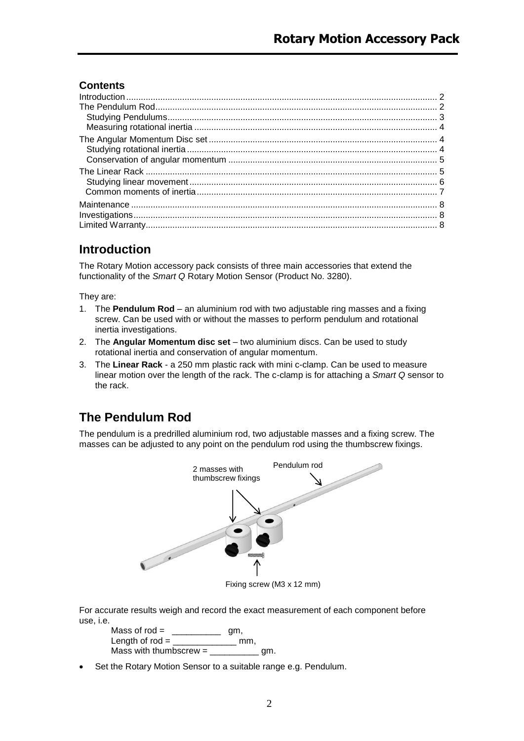## **Contents**

## <span id="page-1-0"></span>**Introduction**

The Rotary Motion accessory pack consists of three main accessories that extend the functionality of the *Smart Q* Rotary Motion Sensor (Product No. 3280).

They are:

- 1. The **Pendulum Rod** an aluminium rod with two adjustable ring masses and a fixing screw. Can be used with or without the masses to perform pendulum and rotational inertia investigations.
- 2. The **Angular Momentum disc set** two aluminium discs. Can be used to study rotational inertia and conservation of angular momentum.
- 3. The **Linear Rack** a 250 mm plastic rack with mini c-clamp. Can be used to measure linear motion over the length of the rack. The c-clamp is for attaching a *Smart Q* sensor to the rack.

## <span id="page-1-1"></span>**The Pendulum Rod**

The pendulum is a predrilled aluminium rod, two adjustable masses and a fixing screw. The masses can be adjusted to any point on the pendulum rod using the thumbscrew fixings.



Fixing screw (M3 x 12 mm)

For accurate results weigh and record the exact measurement of each component before use, i.e.

Mass of rod = \_\_\_\_\_\_\_\_\_\_ gm, Length of  $rod =$  mm, Mass with thumbscrew =  $\frac{1}{\sqrt{2\pi}}$  gm.

Set the Rotary Motion Sensor to a suitable range e.g. Pendulum.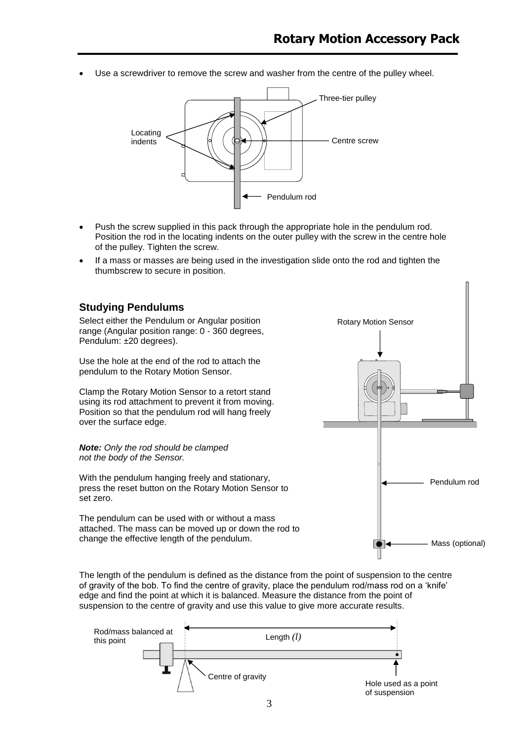Use a screwdriver to remove the screw and washer from the centre of the pulley wheel.



- Push the screw supplied in this pack through the appropriate hole in the pendulum rod. Position the rod in the locating indents on the outer pulley with the screw in the centre hole of the pulley. Tighten the screw.
- If a mass or masses are being used in the investigation slide onto the rod and tighten the thumbscrew to secure in position.

<span id="page-2-0"></span>

The length of the pendulum is defined as the distance from the point of suspension to the centre of gravity of the bob. To find the centre of gravity, place the pendulum rod/mass rod on a 'knife' edge and find the point at which it is balanced. Measure the distance from the point of suspension to the centre of gravity and use this value to give more accurate results.

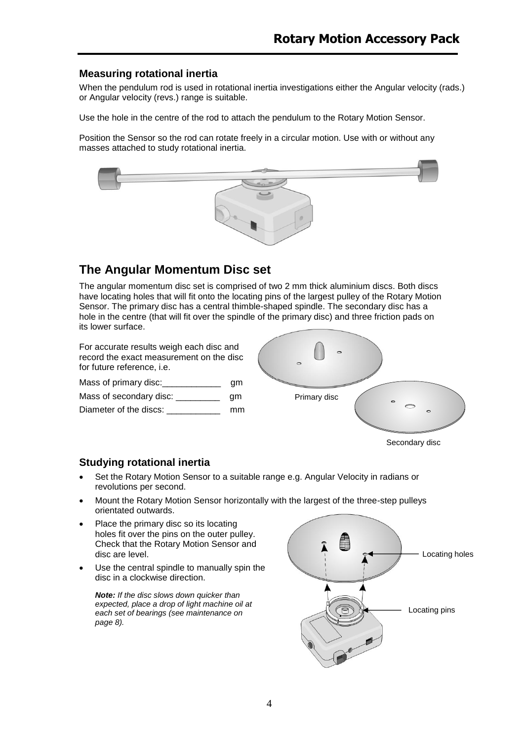#### <span id="page-3-0"></span>**Measuring rotational inertia**

When the pendulum rod is used in rotational inertia investigations either the Angular velocity (rads.) or Angular velocity (revs.) range is suitable.

Use the hole in the centre of the rod to attach the pendulum to the Rotary Motion Sensor.

Position the Sensor so the rod can rotate freely in a circular motion. Use with or without any masses attached to study rotational inertia.



## <span id="page-3-1"></span>**The Angular Momentum Disc set**

The angular momentum disc set is comprised of two 2 mm thick aluminium discs. Both discs have locating holes that will fit onto the locating pins of the largest pulley of the Rotary Motion Sensor. The primary disc has a central thimble-shaped spindle. The secondary disc has a hole in the centre (that will fit over the spindle of the primary disc) and three friction pads on its lower surface.

For accurate results weigh each disc and record the exact measurement on the disc for future reference, i.e.

Mass of primary disc: example a gm Mass of secondary disc: \_\_\_\_\_\_\_\_\_\_\_ gm Diameter of the discs: example a mm



#### <span id="page-3-2"></span>**Studying rotational inertia**

- Set the Rotary Motion Sensor to a suitable range e.g. Angular Velocity in radians or revolutions per second.
- Mount the Rotary Motion Sensor horizontally with the largest of the three-step pulleys orientated outwards.
- Place the primary disc so its locating holes fit over the pins on the outer pulley. Check that the Rotary Motion Sensor and disc are level.
- Use the central spindle to manually spin the disc in a clockwise direction.

*Note: If the disc slows down quicker than expected, place a drop of light machine oil at each set of bearings (see maintenance on page 8).*

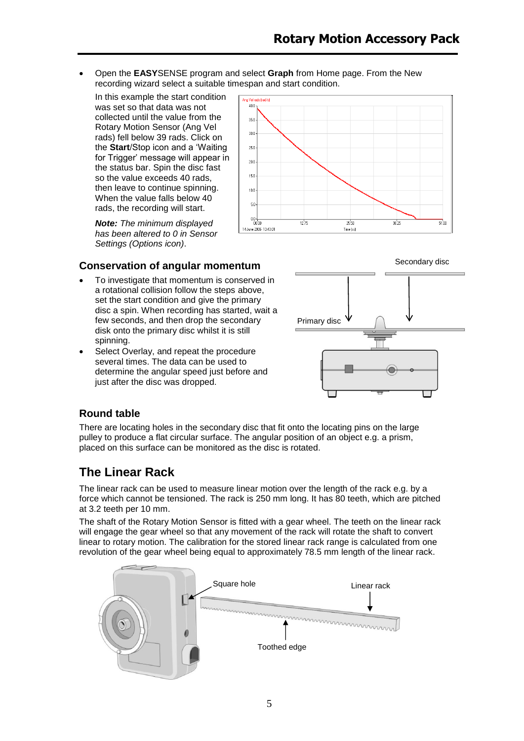Open the **EASY**SENSE program and select **Graph** from Home page. From the New recording wizard select a suitable timespan and start condition.

In this example the start condition was set so that data was not collected until the value from the Rotary Motion Sensor (Ang Vel rads) fell below 39 rads. Click on the **Start**/Stop icon and a 'Waiting for Trigger' message will appear in the status bar. Spin the disc fast so the value exceeds 40 rads, then leave to continue spinning. When the value falls below 40 rads, the recording will start.

*Note: The minimum displayed has been altered to 0 in Sensor Settings (Options icon)*.



### <span id="page-4-0"></span>**Conservation of angular momentum**

- To investigate that momentum is conserved in a rotational collision follow the steps above, set the start condition and give the primary disc a spin. When recording has started, wait a few seconds, and then drop the secondary disk onto the primary disc whilst it is still spinning.
- Select Overlay, and repeat the procedure several times. The data can be used to determine the angular speed just before and just after the disc was dropped.



#### **Round table**

There are locating holes in the secondary disc that fit onto the locating pins on the large pulley to produce a flat circular surface. The angular position of an object e.g. a prism, placed on this surface can be monitored as the disc is rotated.

## <span id="page-4-1"></span>**The Linear Rack**

The linear rack can be used to measure linear motion over the length of the rack e.g. by a force which cannot be tensioned. The rack is 250 mm long. It has 80 teeth, which are pitched at 3.2 teeth per 10 mm.

The shaft of the Rotary Motion Sensor is fitted with a gear wheel. The teeth on the linear rack will engage the gear wheel so that any movement of the rack will rotate the shaft to convert linear to rotary motion. The calibration for the stored linear rack range is calculated from one revolution of the gear wheel being equal to approximately 78.5 mm length of the linear rack.

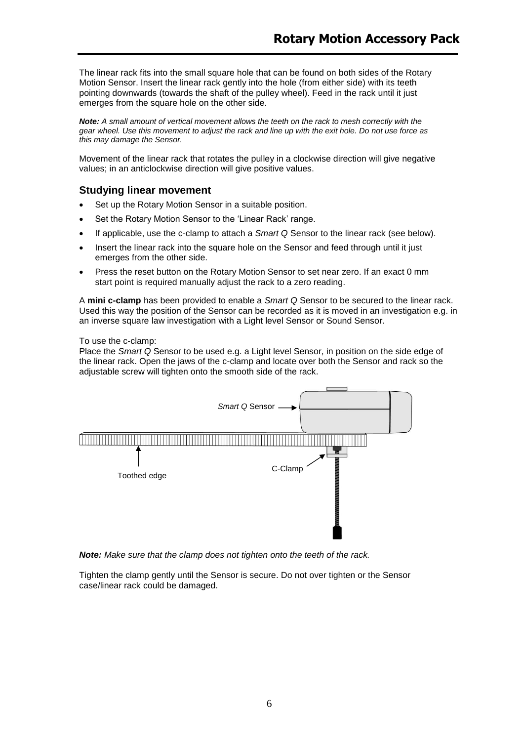The linear rack fits into the small square hole that can be found on both sides of the Rotary Motion Sensor. Insert the linear rack gently into the hole (from either side) with its teeth pointing downwards (towards the shaft of the pulley wheel). Feed in the rack until it just emerges from the square hole on the other side.

*Note: A small amount of vertical movement allows the teeth on the rack to mesh correctly with the gear wheel. Use this movement to adjust the rack and line up with the exit hole. Do not use force as this may damage the Sensor.*

Movement of the linear rack that rotates the pulley in a clockwise direction will give negative values; in an anticlockwise direction will give positive values.

#### <span id="page-5-0"></span>**Studying linear movement**

- Set up the Rotary Motion Sensor in a suitable position.
- Set the Rotary Motion Sensor to the 'Linear Rack' range.
- If applicable, use the c-clamp to attach a *Smart Q* Sensor to the linear rack (see below).
- Insert the linear rack into the square hole on the Sensor and feed through until it just emerges from the other side.
- Press the reset button on the Rotary Motion Sensor to set near zero. If an exact 0 mm start point is required manually adjust the rack to a zero reading.

A **mini c-clamp** has been provided to enable a *Smart Q* Sensor to be secured to the linear rack. Used this way the position of the Sensor can be recorded as it is moved in an investigation e.g. in an inverse square law investigation with a Light level Sensor or Sound Sensor.

#### To use the c-clamp:

Place the *Smart Q* Sensor to be used e.g. a Light level Sensor, in position on the side edge of the linear rack. Open the jaws of the c-clamp and locate over both the Sensor and rack so the adjustable screw will tighten onto the smooth side of the rack.



*Note: Make sure that the clamp does not tighten onto the teeth of the rack.*

Tighten the clamp gently until the Sensor is secure. Do not over tighten or the Sensor case/linear rack could be damaged.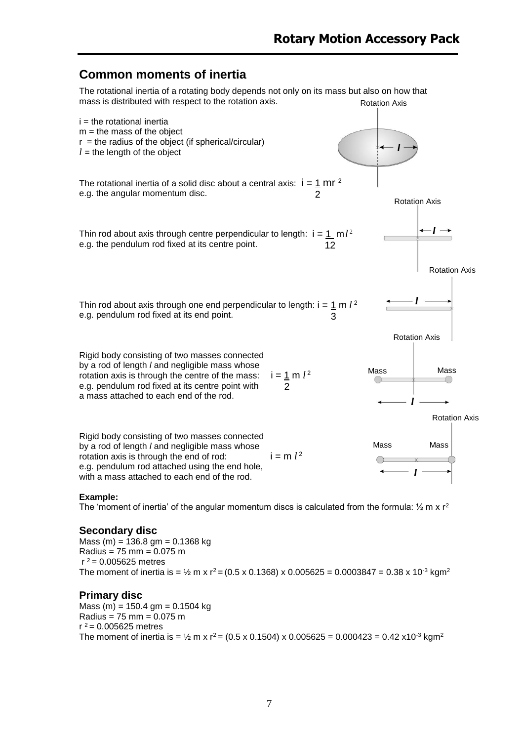## <span id="page-6-0"></span>**Common moments of inertia**

The rotational inertia of a rotating body depends not only on its mass but also on how that mass is distributed with respect to the rotation axis. Rotation Axis



#### **Example:**

The 'moment of inertia' of the angular momentum discs is calculated from the formula:  $\frac{1}{2}$  m x r<sup>2</sup>

#### **Secondary disc**

Mass (m) = 136.8 gm = 0.1368 kg Radius = 75 mm = 0.075 m  $r^2$  = 0.005625 metres The moment of inertia is =  $\frac{1}{2}$  m x r<sup>2</sup> = (0.5 x 0.1368) x 0.005625 = 0.0003847 = 0.38 x 10<sup>-3</sup> kgm<sup>2</sup>

#### **Primary disc**

Mass  $(m) = 150.4$  gm = 0.1504 kg Radius = 75 mm = 0.075 m  $r^2$  = 0.005625 metres The moment of inertia is =  $\frac{1}{2}$  m x r<sup>2</sup> = (0.5 x 0.1504) x 0.005625 = 0.000423 = 0.42 x10<sup>-3</sup> kgm<sup>2</sup>